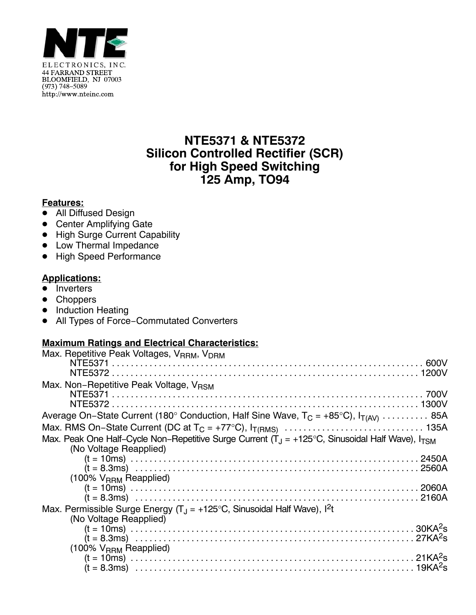

# **NTE5371 & NTE5372 Silicon Controlled Rectifier (SCR) for High Speed Switching 125 Amp, TO94**

#### **Features:**

- All Diffused Design
- Center Amplifying Gate
- · High Surge Current Capability
- Low Thermal Impedance
- High Speed Performance

### **Applications:**

- Inverters
- Choppers
- Induction Heating
- All Types of Force−Commutated Converters

### **Maximum Ratings and Electrical Characteristics:**

| Max. Repetitive Peak Voltages, V <sub>RRM</sub> , V <sub>DRM</sub>                                                               |  |
|----------------------------------------------------------------------------------------------------------------------------------|--|
|                                                                                                                                  |  |
|                                                                                                                                  |  |
| Max. Non-Repetitive Peak Voltage, VRSM                                                                                           |  |
|                                                                                                                                  |  |
|                                                                                                                                  |  |
| Average On–State Current (180° Conduction, Half Sine Wave, $T_C = +85^{\circ}C$ ), $I_{T(AV)}$ 85A                               |  |
|                                                                                                                                  |  |
| Max. Peak One Half-Cycle Non-Repetitive Surge Current $(T_1 = +125^{\circ}C, S_{\text{inusoidal}})$ Half Wave), $I_{\text{TSM}}$ |  |
| (No Voltage Reapplied)                                                                                                           |  |
|                                                                                                                                  |  |
|                                                                                                                                  |  |
| $(100\% \text{ V}_{\text{RRM}}$ Reapplied)                                                                                       |  |
|                                                                                                                                  |  |
|                                                                                                                                  |  |
| Max. Permissible Surge Energy $(T_1 = +125^{\circ}C,$ Sinusoidal Half Wave), $I^2t$                                              |  |
| (No Voltage Reapplied)                                                                                                           |  |
|                                                                                                                                  |  |
|                                                                                                                                  |  |
| $(100\% \text{ V}_{\text{RRM}}$ Reapplied)                                                                                       |  |
|                                                                                                                                  |  |
|                                                                                                                                  |  |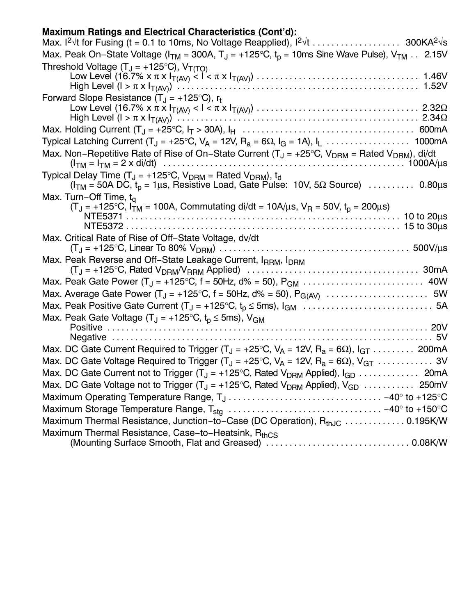## **Maximum Ratings and Electrical Characteristics (Cont'd):**

| <u>maximum natingo anu Eleothodi onaraotenotioo (oont u/l</u>                                                                                                                                   |
|-------------------------------------------------------------------------------------------------------------------------------------------------------------------------------------------------|
|                                                                                                                                                                                                 |
| Max. Peak On-State Voltage ( $I_{TM}$ = 300A, $T_J$ = +125°C, $t_p$ = 10ms Sine Wave Pulse), $V_{TM}$ 2.15V                                                                                     |
| Threshold Voltage $(T_J = +125^{\circ}C)$ , $V_{T(TO)}$                                                                                                                                         |
|                                                                                                                                                                                                 |
|                                                                                                                                                                                                 |
| Forward Slope Resistance $(T_J = +125^{\circ}C)$ , r <sub>t</sub>                                                                                                                               |
|                                                                                                                                                                                                 |
|                                                                                                                                                                                                 |
| Typical Latching Current (T <sub>J</sub> = +25°C, V <sub>A</sub> = 12V, R <sub>a</sub> = 6Ω, I <sub>G</sub> = 1A), I <sub>L</sub> 1000mA                                                        |
| Max. Non-Repetitive Rate of Rise of On-State Current ( $T_J = +25^{\circ}C$ , $V_{DRM} =$ Rated $V_{DRM}$ ), di/dt                                                                              |
| Typical Delay Time (T <sub>J</sub> = +125°C, $V_{DRM}$ = Rated $V_{DRM}$ ), t <sub>d</sub><br>$(ITM = 50A DC, tp = 1 \mu s$ , Resistive Load, Gate Pulse: 10V, 5 $\Omega$ Source)  0.80 $\mu$ s |
| Max. Turn-Off Time, $t_{\alpha}$                                                                                                                                                                |
| $(T_J = +125^{\circ}C, I_{TM} = 100A,$ Commutating di/dt = 10A/ $\mu$ s, V <sub>R</sub> = 50V, t <sub>p</sub> = 200 $\mu$ s)                                                                    |
|                                                                                                                                                                                                 |
|                                                                                                                                                                                                 |
| Max. Critical Rate of Rise of Off-State Voltage, dv/dt                                                                                                                                          |
| Max. Peak Reverse and Off-State Leakage Current, IRRM, IDRM                                                                                                                                     |
|                                                                                                                                                                                                 |
|                                                                                                                                                                                                 |
| Max. Average Gate Power $(T_J = +125^{\circ}C, f = 50Hz, d\% = 50), P_{G(AV)} \dots \dots \dots \dots \dots \dots \dots$                                                                        |
|                                                                                                                                                                                                 |
| Max. Peak Gate Voltage (T <sub>J</sub> = +125°C, t <sub>p</sub> $\leq$ 5ms), V <sub>GM</sub>                                                                                                    |
|                                                                                                                                                                                                 |
|                                                                                                                                                                                                 |
| Max. DC Gate Current Required to Trigger (T <sub>J</sub> = +25°C, V <sub>A</sub> = 12V, R <sub>a</sub> = 6 $\Omega$ ), I <sub>GT</sub> 200mA                                                    |
| Max. DC Gate Voltage Required to Trigger (T <sub>J</sub> = +25°C, V <sub>A</sub> = 12V, R <sub>a</sub> = 6 $\Omega$ ), V <sub>GT</sub> 3V                                                       |
| Max. DC Gate Current not to Trigger (T <sub>J</sub> = +125°C, Rated V <sub>DRM</sub> Applied), I <sub>GD</sub> 20mA                                                                             |
| Max. DC Gate Voltage not to Trigger (T <sub>J</sub> = +125°C, Rated V <sub>DRM</sub> Applied), V <sub>GD</sub> 250mV                                                                            |
| Maximum Operating Temperature Range, $T_J \ldots \ldots \ldots \ldots \ldots \ldots \ldots \ldots \ldots \ldots -40^{\circ}$ to +125°C                                                          |
|                                                                                                                                                                                                 |
| Maximum Thermal Resistance, Junction-to-Case (DC Operation), R <sub>thJC</sub> 0.195K/W<br>Maximum Thermal Resistance, Case-to-Heatsink, R <sub>thCS</sub>                                      |
|                                                                                                                                                                                                 |
|                                                                                                                                                                                                 |